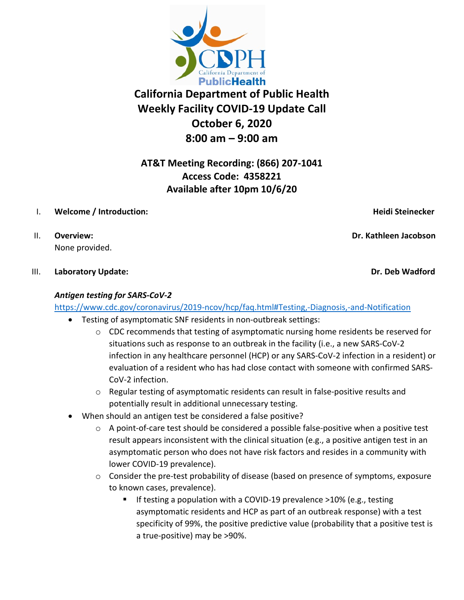

**AT&T Meeting Recording: (866) 207-1041 Access Code: 4358221 Available after 10pm 10/6/20**

### I. **Welcome / Introduction: Heidi Steinecker**

None provided.

### III. **Laboratory Update: Dr. Deb Wadford**

### *Antigen testing for SARS-CoV-2*

<https://www.cdc.gov/coronavirus/2019-ncov/hcp/faq.html#Testing,-Diagnosis,-and-Notification>

- Testing of asymptomatic SNF residents in non-outbreak settings:
	- $\circ$  CDC recommends that testing of asymptomatic nursing home residents be reserved for situations such as response to an outbreak in the facility (i.e., a new SARS-CoV-2 infection in any healthcare personnel (HCP) or any SARS-CoV-2 infection in a resident) or evaluation of a resident who has had close contact with someone with confirmed SARS-CoV-2 infection.
	- o Regular testing of asymptomatic residents can result in false-positive results and potentially result in additional unnecessary testing.
- When should an antigen test be considered a false positive?
	- $\circ$  A point-of-care test should be considered a possible false-positive when a positive test result appears inconsistent with the clinical situation (e.g., a positive antigen test in an asymptomatic person who does not have risk factors and resides in a community with lower COVID-19 prevalence).
	- o Consider the pre-test probability of disease (based on presence of symptoms, exposure to known cases, prevalence).
		- If testing a population with a COVID-19 prevalence >10% (e.g., testing asymptomatic residents and HCP as part of an outbreak response) with a test specificity of 99%, the positive predictive value (probability that a positive test is a true-positive) may be >90%.



II. **Overview: Dr. Kathleen Jacobson**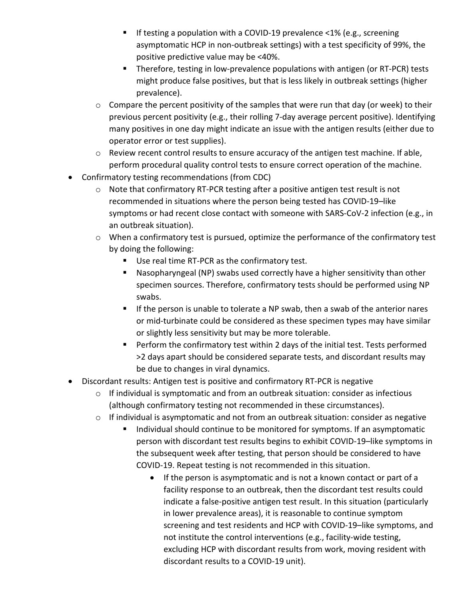- If testing a population with a COVID-19 prevalence <1% (e.g., screening asymptomatic HCP in non-outbreak settings) with a test specificity of 99%, the positive predictive value may be <40%.
- **Therefore, testing in low-prevalence populations with antigen (or RT-PCR) tests** might produce false positives, but that is less likely in outbreak settings (higher prevalence).
- $\circ$  Compare the percent positivity of the samples that were run that day (or week) to their previous percent positivity (e.g., their rolling 7-day average percent positive). Identifying many positives in one day might indicate an issue with the antigen results (either due to operator error or test supplies).
- o Review recent control results to ensure accuracy of the antigen test machine. If able, perform procedural quality control tests to ensure correct operation of the machine.
- Confirmatory testing recommendations (from CDC)
	- $\circ$  Note that confirmatory RT-PCR testing after a positive antigen test result is not recommended in situations where the person being tested has COVID-19–like symptoms or had recent close contact with someone with SARS-CoV-2 infection (e.g., in an outbreak situation).
	- o When a confirmatory test is pursued, optimize the performance of the confirmatory test by doing the following:
		- Use real time RT-PCR as the confirmatory test.
		- Nasopharyngeal (NP) swabs used correctly have a higher sensitivity than other specimen sources. Therefore, confirmatory tests should be performed using NP swabs.
		- If the person is unable to tolerate a NP swab, then a swab of the anterior nares or mid-turbinate could be considered as these specimen types may have similar or slightly less sensitivity but may be more tolerable.
		- Perform the confirmatory test within 2 days of the initial test. Tests performed >2 days apart should be considered separate tests, and discordant results may be due to changes in viral dynamics.
- Discordant results: Antigen test is positive and confirmatory RT-PCR is negative
	- $\circ$  If individual is symptomatic and from an outbreak situation: consider as infectious (although confirmatory testing not recommended in these circumstances).
	- $\circ$  If individual is asymptomatic and not from an outbreak situation: consider as negative
		- Individual should continue to be monitored for symptoms. If an asymptomatic person with discordant test results begins to exhibit COVID-19–like symptoms in the subsequent week after testing, that person should be considered to have COVID-19. Repeat testing is not recommended in this situation.
			- If the person is asymptomatic and is not a known contact or part of a facility response to an outbreak, then the discordant test results could indicate a false-positive antigen test result. In this situation (particularly in lower prevalence areas), it is reasonable to continue symptom screening and test residents and HCP with COVID-19–like symptoms, and not institute the control interventions (e.g., facility-wide testing, excluding HCP with discordant results from work, moving resident with discordant results to a COVID-19 unit).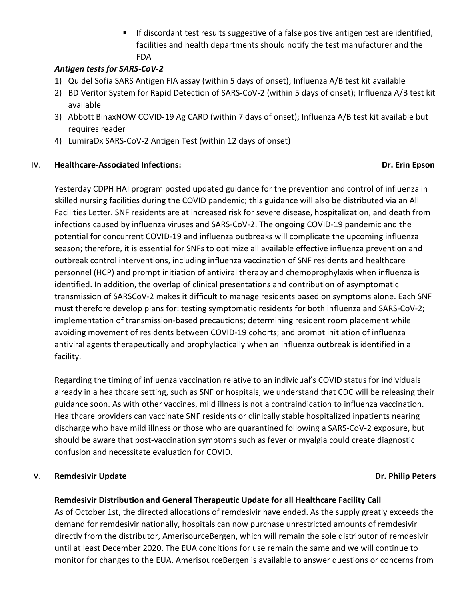**If discordant test results suggestive of a false positive antigen test are identified,** facilities and health departments should notify the test manufacturer and the FDA

## *Antigen tests for SARS-CoV-2*

- 1) Quidel Sofia SARS Antigen FIA assay (within 5 days of onset); Influenza A/B test kit available
- 2) BD Veritor System for Rapid Detection of SARS-CoV-2 (within 5 days of onset); Influenza A/B test kit available
- 3) Abbott BinaxNOW COVID-19 Ag CARD (within 7 days of onset); Influenza A/B test kit available but requires reader
- 4) LumiraDx SARS-CoV-2 Antigen Test (within 12 days of onset)

# IV. **Healthcare-Associated Infections: Dr. Erin Epson**

Yesterday CDPH HAI program posted updated guidance for the prevention and control of influenza in skilled nursing facilities during the COVID pandemic; this guidance will also be distributed via an All Facilities Letter. SNF residents are at increased risk for severe disease, hospitalization, and death from infections caused by influenza viruses and SARS-CoV-2. The ongoing COVID-19 pandemic and the potential for concurrent COVID-19 and influenza outbreaks will complicate the upcoming influenza season; therefore, it is essential for SNFs to optimize all available effective influenza prevention and outbreak control interventions, including influenza vaccination of SNF residents and healthcare personnel (HCP) and prompt initiation of antiviral therapy and chemoprophylaxis when influenza is identified. In addition, the overlap of clinical presentations and contribution of asymptomatic transmission of SARSCoV-2 makes it difficult to manage residents based on symptoms alone. Each SNF must therefore develop plans for: testing symptomatic residents for both influenza and SARS-CoV-2; implementation of transmission-based precautions; determining resident room placement while avoiding movement of residents between COVID-19 cohorts; and prompt initiation of influenza antiviral agents therapeutically and prophylactically when an influenza outbreak is identified in a facility.

Regarding the timing of influenza vaccination relative to an individual's COVID status for individuals already in a healthcare setting, such as SNF or hospitals, we understand that CDC will be releasing their guidance soon. As with other vaccines, mild illness is not a contraindication to influenza vaccination. Healthcare providers can vaccinate SNF residents or clinically stable hospitalized inpatients nearing discharge who have mild illness or those who are quarantined following a SARS-CoV-2 exposure, but should be aware that post-vaccination symptoms such as fever or myalgia could create diagnostic confusion and necessitate evaluation for COVID.

## V. **Remdesivir Update Dr. Philip Peters**

## **Remdesivir Distribution and General Therapeutic Update for all Healthcare Facility Call**

As of October 1st, the directed allocations of remdesivir have ended. As the supply greatly exceeds the demand for remdesivir nationally, hospitals can now purchase unrestricted amounts of remdesivir directly from the distributor, AmerisourceBergen, which will remain the sole distributor of remdesivir until at least December 2020. The EUA conditions for use remain the same and we will continue to monitor for changes to the EUA. AmerisourceBergen is available to answer questions or concerns from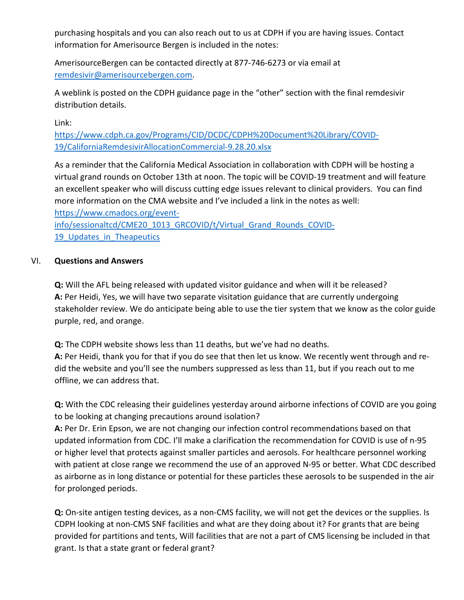purchasing hospitals and you can also reach out to us at CDPH if you are having issues. Contact information for Amerisource Bergen is included in the notes:

AmerisourceBergen can be contacted directly at 877-746-6273 or via email at [remdesivir@amerisourcebergen.com.](mailto:remdesivir@amerisourcebergen.com)

A weblink is posted on the CDPH guidance page in the "other" section with the final remdesivir distribution details.

Link:

[https://www.cdph.ca.gov/Programs/CID/DCDC/CDPH%20Document%20Library/COVID-](https://www.cdph.ca.gov/Programs/CID/DCDC/CDPH%20Document%20Library/COVID-19/CaliforniaRemdesivirAllocationCommercial-9.28.20.xlsx)[19/CaliforniaRemdesivirAllocationCommercial-9.28.20.xlsx](https://www.cdph.ca.gov/Programs/CID/DCDC/CDPH%20Document%20Library/COVID-19/CaliforniaRemdesivirAllocationCommercial-9.28.20.xlsx)

As a reminder that the California Medical Association in collaboration with CDPH will be hosting a virtual grand rounds on October 13th at noon. The topic will be COVID-19 treatment and will feature an excellent speaker who will discuss cutting edge issues relevant to clinical providers. You can find more information on the CMA website and I've included a link in the notes as well:

[https://www.cmadocs.org/event](https://www.cmadocs.org/event-info/sessionaltcd/CME20_1013_GRCOVID/t/Virtual_Grand_Rounds_COVID-19_Updates_in_Theapeutics)[info/sessionaltcd/CME20\\_1013\\_GRCOVID/t/Virtual\\_Grand\\_Rounds\\_COVID-](https://www.cmadocs.org/event-info/sessionaltcd/CME20_1013_GRCOVID/t/Virtual_Grand_Rounds_COVID-19_Updates_in_Theapeutics)19 Updates in Theapeutics

## VI. **Questions and Answers**

**Q:** Will the AFL being released with updated visitor guidance and when will it be released? **A:** Per Heidi, Yes, we will have two separate visitation guidance that are currently undergoing stakeholder review. We do anticipate being able to use the tier system that we know as the color guide purple, red, and orange.

**Q:** The CDPH website shows less than 11 deaths, but we've had no deaths.

**A:** Per Heidi, thank you for that if you do see that then let us know. We recently went through and redid the website and you'll see the numbers suppressed as less than 11, but if you reach out to me offline, we can address that.

**Q:** With the CDC releasing their guidelines yesterday around airborne infections of COVID are you going to be looking at changing precautions around isolation?

**A:** Per Dr. Erin Epson, we are not changing our infection control recommendations based on that updated information from CDC. I'll make a clarification the recommendation for COVID is use of n-95 or higher level that protects against smaller particles and aerosols. For healthcare personnel working with patient at close range we recommend the use of an approved N-95 or better. What CDC described as airborne as in long distance or potential for these particles these aerosols to be suspended in the air for prolonged periods.

**Q:** On-site antigen testing devices, as a non-CMS facility, we will not get the devices or the supplies. Is CDPH looking at non-CMS SNF facilities and what are they doing about it? For grants that are being provided for partitions and tents, Will facilities that are not a part of CMS licensing be included in that grant. Is that a state grant or federal grant?